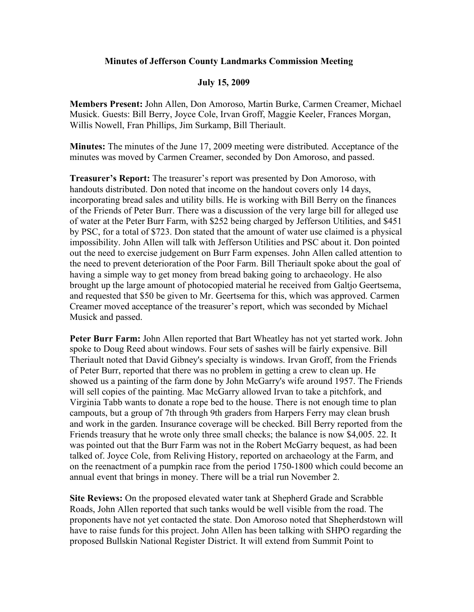## **Minutes of Jefferson County Landmarks Commission Meeting**

## **July 15, 2009**

**Members Present:** John Allen, Don Amoroso, Martin Burke, Carmen Creamer, Michael Musick. Guests: Bill Berry, Joyce Cole, Irvan Groff, Maggie Keeler, Frances Morgan, Willis Nowell, Fran Phillips, Jim Surkamp, Bill Theriault.

**Minutes:** The minutes of the June 17, 2009 meeting were distributed. Acceptance of the minutes was moved by Carmen Creamer, seconded by Don Amoroso, and passed.

**Treasurer's Report:** The treasurer's report was presented by Don Amoroso, with handouts distributed. Don noted that income on the handout covers only 14 days, incorporating bread sales and utility bills. He is working with Bill Berry on the finances of the Friends of Peter Burr. There was a discussion of the very large bill for alleged use of water at the Peter Burr Farm, with \$252 being charged by Jefferson Utilities, and \$451 by PSC, for a total of \$723. Don stated that the amount of water use claimed is a physical impossibility. John Allen will talk with Jefferson Utilities and PSC about it. Don pointed out the need to exercise judgement on Burr Farm expenses. John Allen called attention to the need to prevent deterioration of the Poor Farm. Bill Theriault spoke about the goal of having a simple way to get money from bread baking going to archaeology. He also brought up the large amount of photocopied material he received from Galtjo Geertsema, and requested that \$50 be given to Mr. Geertsema for this, which was approved. Carmen Creamer moved acceptance of the treasurer's report, which was seconded by Michael Musick and passed.

**Peter Burr Farm:** John Allen reported that Bart Wheatley has not yet started work. John spoke to Doug Reed about windows. Four sets of sashes will be fairly expensive. Bill Theriault noted that David Gibney's specialty is windows. Irvan Groff, from the Friends of Peter Burr, reported that there was no problem in getting a crew to clean up. He showed us a painting of the farm done by John McGarry's wife around 1957. The Friends will sell copies of the painting. Mac McGarry allowed Irvan to take a pitchfork, and Virginia Tabb wants to donate a rope bed to the house. There is not enough time to plan campouts, but a group of 7th through 9th graders from Harpers Ferry may clean brush and work in the garden. Insurance coverage will be checked. Bill Berry reported from the Friends treasury that he wrote only three small checks; the balance is now \$4,005. 22. It was pointed out that the Burr Farm was not in the Robert McGarry bequest, as had been talked of. Joyce Cole, from Reliving History, reported on archaeology at the Farm, and on the reenactment of a pumpkin race from the period 1750-1800 which could become an annual event that brings in money. There will be a trial run November 2.

**Site Reviews:** On the proposed elevated water tank at Shepherd Grade and Scrabble Roads, John Allen reported that such tanks would be well visible from the road. The proponents have not yet contacted the state. Don Amoroso noted that Shepherdstown will have to raise funds for this project. John Allen has been talking with SHPO regarding the proposed Bullskin National Register District. It will extend from Summit Point to